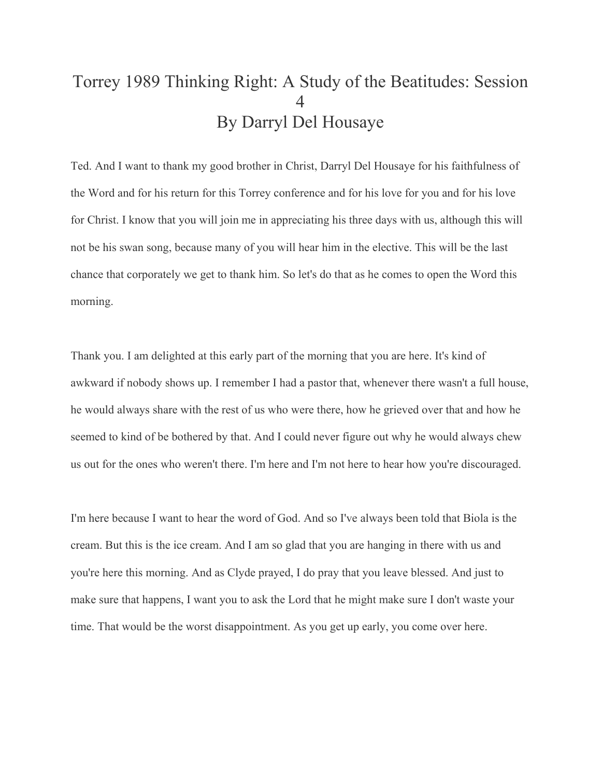# Torrey 1989 Thinking Right: A Study of the Beatitudes: Session 4 By Darryl Del Housaye

Ted. And I want to thank my good brother in Christ, Darryl Del Housaye for his faithfulness of the Word and for his return for this Torrey conference and for his love for you and for his love for Christ. I know that you will join me in appreciating his three days with us, although this will not be his swan song, because many of you will hear him in the elective. This will be the last chance that corporately we get to thank him. So let's do that as he comes to open the Word this morning.

Thank you. I am delighted at this early part of the morning that you are here. It's kind of awkward if nobody shows up. I remember I had a pastor that, whenever there wasn't a full house, he would always share with the rest of us who were there, how he grieved over that and how he seemed to kind of be bothered by that. And I could never figure out why he would always chew us out for the ones who weren't there. I'm here and I'm not here to hear how you're discouraged.

I'm here because I want to hear the word of God. And so I've always been told that Biola is the cream. But this is the ice cream. And I am so glad that you are hanging in there with us and you're here this morning. And as Clyde prayed, I do pray that you leave blessed. And just to make sure that happens, I want you to ask the Lord that he might make sure I don't waste your time. That would be the worst disappointment. As you get up early, you come over here.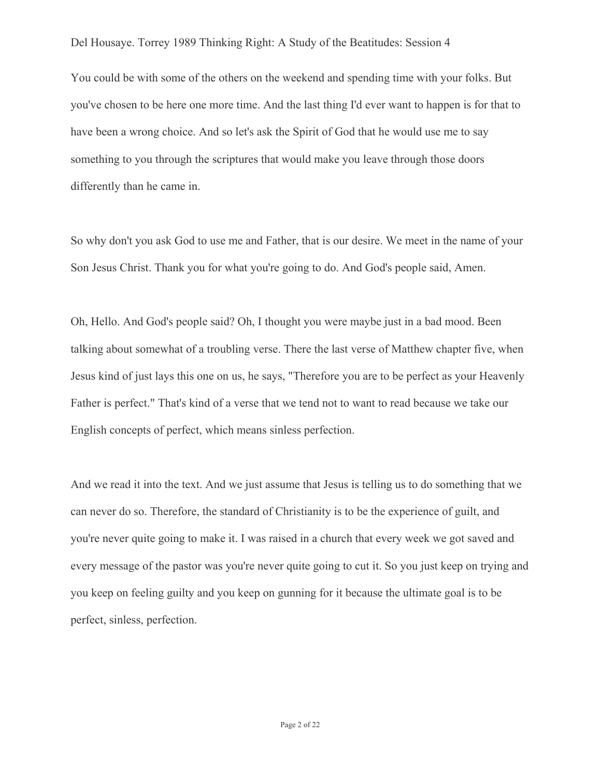You could be with some of the others on the weekend and spending time with your folks. But you've chosen to be here one more time. And the last thing I'd ever want to happen is for that to have been a wrong choice. And so let's ask the Spirit of God that he would use me to say something to you through the scriptures that would make you leave through those doors differently than he came in.

So why don't you ask God to use me and Father, that is our desire. We meet in the name of your Son Jesus Christ. Thank you for what you're going to do. And God's people said, Amen.

Oh, Hello. And God's people said? Oh, I thought you were maybe just in a bad mood. Been talking about somewhat of a troubling verse. There the last verse of Matthew chapter five, when Jesus kind of just lays this one on us, he says, "Therefore you are to be perfect as your Heavenly Father is perfect." That's kind of a verse that we tend not to want to read because we take our English concepts of perfect, which means sinless perfection.

And we read it into the text. And we just assume that Jesus is telling us to do something that we can never do so. Therefore, the standard of Christianity is to be the experience of guilt, and you're never quite going to make it. I was raised in a church that every week we got saved and every message of the pastor was you're never quite going to cut it. So you just keep on trying and you keep on feeling guilty and you keep on gunning for it because the ultimate goal is to be perfect, sinless, perfection.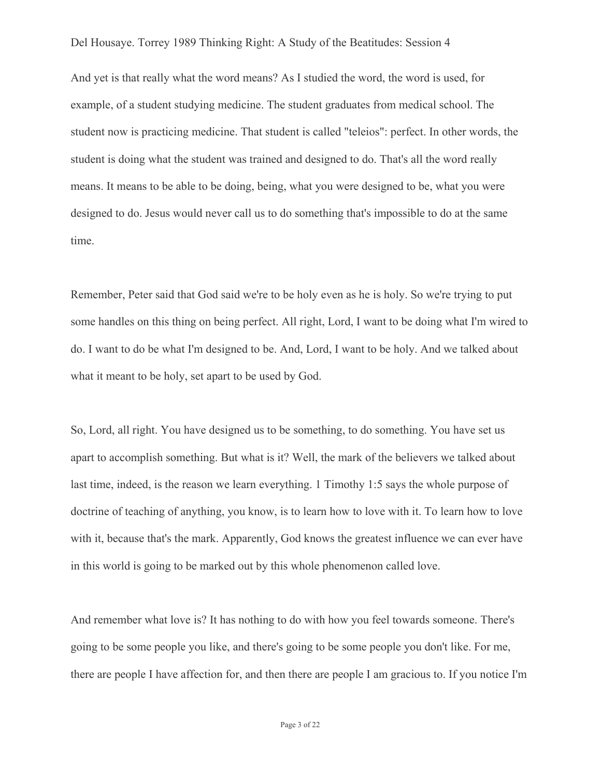And yet is that really what the word means? As I studied the word, the word is used, for example, of a student studying medicine. The student graduates from medical school. The student now is practicing medicine. That student is called "teleios": perfect. In other words, the student is doing what the student was trained and designed to do. That's all the word really means. It means to be able to be doing, being, what you were designed to be, what you were designed to do. Jesus would never call us to do something that's impossible to do at the same time.

Remember, Peter said that God said we're to be holy even as he is holy. So we're trying to put some handles on this thing on being perfect. All right, Lord, I want to be doing what I'm wired to do. I want to do be what I'm designed to be. And, Lord, I want to be holy. And we talked about what it meant to be holy, set apart to be used by God.

So, Lord, all right. You have designed us to be something, to do something. You have set us apart to accomplish something. But what is it? Well, the mark of the believers we talked about last time, indeed, is the reason we learn everything. 1 Timothy 1:5 says the whole purpose of doctrine of teaching of anything, you know, is to learn how to love with it. To learn how to love with it, because that's the mark. Apparently, God knows the greatest influence we can ever have in this world is going to be marked out by this whole phenomenon called love.

And remember what love is? It has nothing to do with how you feel towards someone. There's going to be some people you like, and there's going to be some people you don't like. For me, there are people I have affection for, and then there are people I am gracious to. If you notice I'm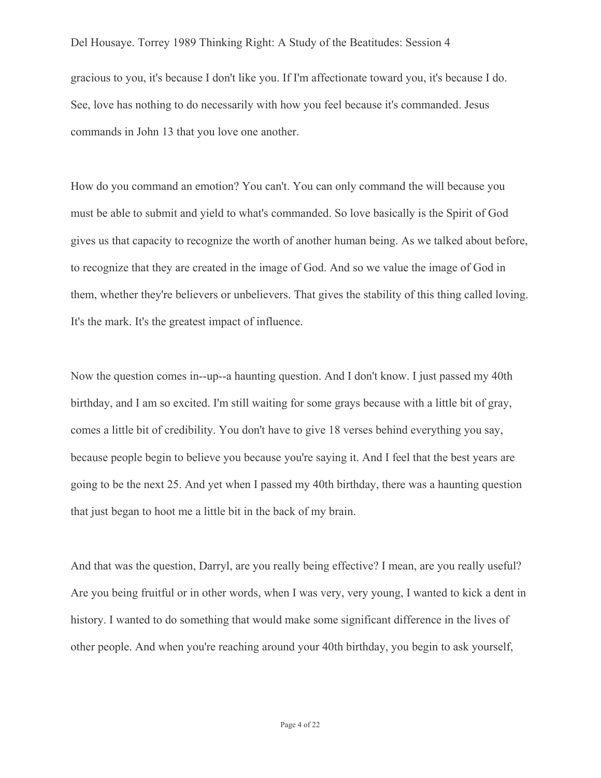Del Housaye. Torrey 1989 Thinking Right: A Study of the Beatitudes: Session 4 gracious to you, it's because I don't like you. If I'm affectionate toward you, it's because I do. See, love has nothing to do necessarily with how you feel because it's commanded. Jesus commands in John 13 that you love one another.

How do you command an emotion? You can't. You can only command the will because you must be able to submit and yield to what's commanded. So love basically is the Spirit of God gives us that capacity to recognize the worth of another human being. As we talked about before, to recognize that they are created in the image of God. And so we value the image of God in them, whether they're believers or unbelievers. That gives the stability of this thing called loving. It's the mark. It's the greatest impact of influence.

Now the question comes in--up--a haunting question. And I don't know. I just passed my 40th birthday, and I am so excited. I'm still waiting for some grays because with a little bit of gray, comes a little bit of credibility. You don't have to give 18 verses behind everything you say, because people begin to believe you because you're saying it. And I feel that the best years are going to be the next 25. And yet when I passed my 40th birthday, there was a haunting question that just began to hoot me a little bit in the back of my brain.

And that was the question, Darryl, are you really being effective? I mean, are you really useful? Are you being fruitful or in other words, when I was very, very young, I wanted to kick a dent in history. I wanted to do something that would make some significant difference in the lives of other people. And when you're reaching around your 40th birthday, you begin to ask yourself,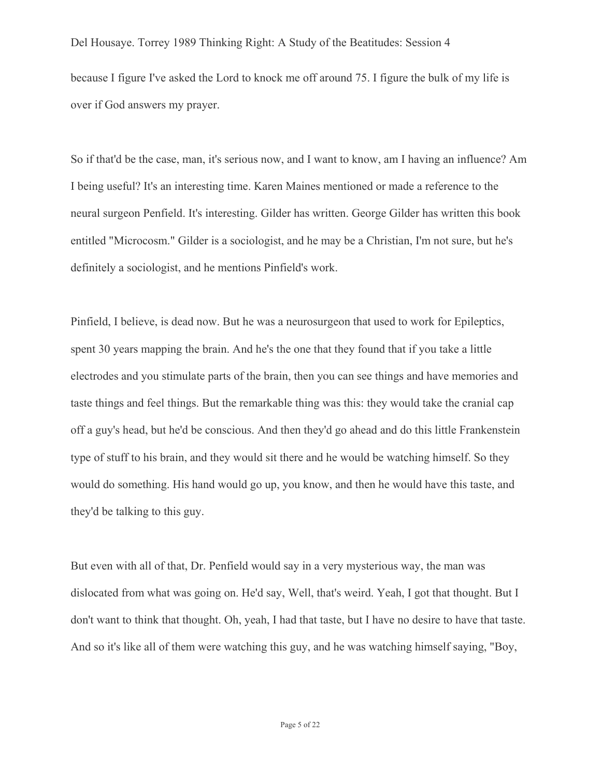Del Housaye. Torrey 1989 Thinking Right: A Study of the Beatitudes: Session 4 because I figure I've asked the Lord to knock me off around 75. I figure the bulk of my life is over if God answers my prayer.

So if that'd be the case, man, it's serious now, and I want to know, am I having an influence? Am I being useful? It's an interesting time. Karen Maines mentioned or made a reference to the neural surgeon Penfield. It's interesting. Gilder has written. George Gilder has written this book entitled "Microcosm." Gilder is a sociologist, and he may be a Christian, I'm not sure, but he's definitely a sociologist, and he mentions Pinfield's work.

Pinfield, I believe, is dead now. But he was a neurosurgeon that used to work for Epileptics, spent 30 years mapping the brain. And he's the one that they found that if you take a little electrodes and you stimulate parts of the brain, then you can see things and have memories and taste things and feel things. But the remarkable thing was this: they would take the cranial cap off a guy's head, but he'd be conscious. And then they'd go ahead and do this little Frankenstein type of stuff to his brain, and they would sit there and he would be watching himself. So they would do something. His hand would go up, you know, and then he would have this taste, and they'd be talking to this guy.

But even with all of that, Dr. Penfield would say in a very mysterious way, the man was dislocated from what was going on. He'd say, Well, that's weird. Yeah, I got that thought. But I don't want to think that thought. Oh, yeah, I had that taste, but I have no desire to have that taste. And so it's like all of them were watching this guy, and he was watching himself saying, "Boy,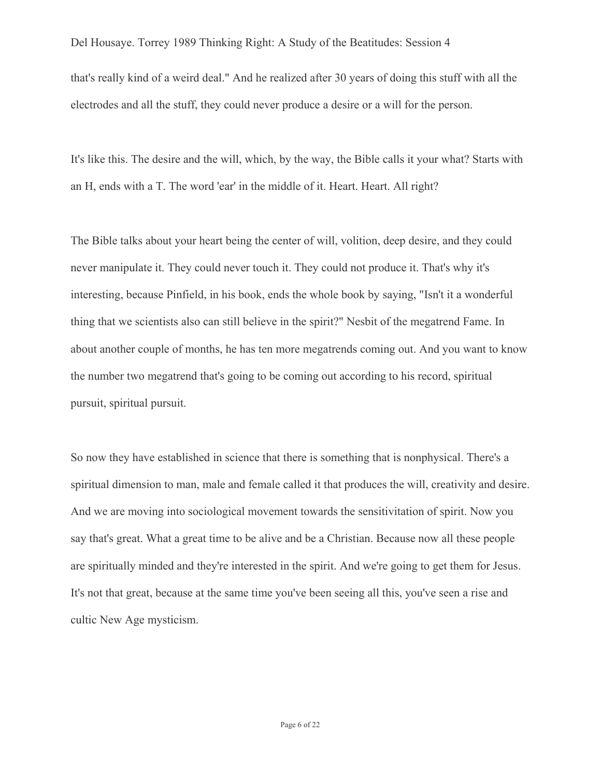that's really kind of a weird deal." And he realized after 30 years of doing this stuff with all the electrodes and all the stuff, they could never produce a desire or a will for the person.

It's like this. The desire and the will, which, by the way, the Bible calls it your what? Starts with an H, ends with a T. The word 'ear' in the middle of it. Heart. Heart. All right?

The Bible talks about your heart being the center of will, volition, deep desire, and they could never manipulate it. They could never touch it. They could not produce it. That's why it's interesting, because Pinfield, in his book, ends the whole book by saying, "Isn't it a wonderful thing that we scientists also can still believe in the spirit?" Nesbit of the megatrend Fame. In about another couple of months, he has ten more megatrends coming out. And you want to know the number two megatrend that's going to be coming out according to his record, spiritual pursuit, spiritual pursuit.

So now they have established in science that there is something that is nonphysical. There's a spiritual dimension to man, male and female called it that produces the will, creativity and desire. And we are moving into sociological movement towards the sensitivitation of spirit. Now you say that's great. What a great time to be alive and be a Christian. Because now all these people are spiritually minded and they're interested in the spirit. And we're going to get them for Jesus. It's not that great, because at the same time you've been seeing all this, you've seen a rise and cultic New Age mysticism.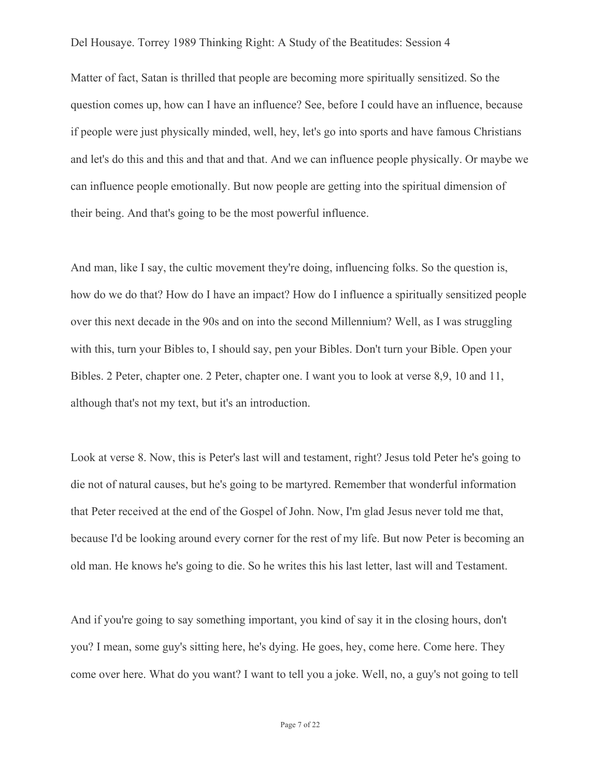Matter of fact, Satan is thrilled that people are becoming more spiritually sensitized. So the question comes up, how can I have an influence? See, before I could have an influence, because if people were just physically minded, well, hey, let's go into sports and have famous Christians and let's do this and this and that and that. And we can influence people physically. Or maybe we can influence people emotionally. But now people are getting into the spiritual dimension of their being. And that's going to be the most powerful influence.

And man, like I say, the cultic movement they're doing, influencing folks. So the question is, how do we do that? How do I have an impact? How do I influence a spiritually sensitized people over this next decade in the 90s and on into the second Millennium? Well, as I was struggling with this, turn your Bibles to, I should say, pen your Bibles. Don't turn your Bible. Open your Bibles. 2 Peter, chapter one. 2 Peter, chapter one. I want you to look at verse 8,9, 10 and 11, although that's not my text, but it's an introduction.

Look at verse 8. Now, this is Peter's last will and testament, right? Jesus told Peter he's going to die not of natural causes, but he's going to be martyred. Remember that wonderful information that Peter received at the end of the Gospel of John. Now, I'm glad Jesus never told me that, because I'd be looking around every corner for the rest of my life. But now Peter is becoming an old man. He knows he's going to die. So he writes this his last letter, last will and Testament.

And if you're going to say something important, you kind of say it in the closing hours, don't you? I mean, some guy's sitting here, he's dying. He goes, hey, come here. Come here. They come over here. What do you want? I want to tell you a joke. Well, no, a guy's not going to tell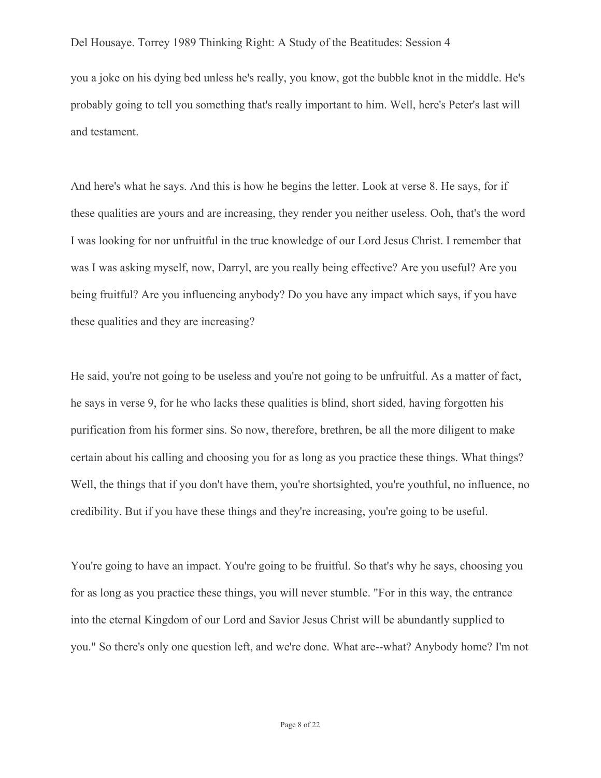you a joke on his dying bed unless he's really, you know, got the bubble knot in the middle. He's probably going to tell you something that's really important to him. Well, here's Peter's last will and testament.

And here's what he says. And this is how he begins the letter. Look at verse 8. He says, for if these qualities are yours and are increasing, they render you neither useless. Ooh, that's the word I was looking for nor unfruitful in the true knowledge of our Lord Jesus Christ. I remember that was I was asking myself, now, Darryl, are you really being effective? Are you useful? Are you being fruitful? Are you influencing anybody? Do you have any impact which says, if you have these qualities and they are increasing?

He said, you're not going to be useless and you're not going to be unfruitful. As a matter of fact, he says in verse 9, for he who lacks these qualities is blind, short sided, having forgotten his purification from his former sins. So now, therefore, brethren, be all the more diligent to make certain about his calling and choosing you for as long as you practice these things. What things? Well, the things that if you don't have them, you're shortsighted, you're youthful, no influence, no credibility. But if you have these things and they're increasing, you're going to be useful.

You're going to have an impact. You're going to be fruitful. So that's why he says, choosing you for as long as you practice these things, you will never stumble. "For in this way, the entrance into the eternal Kingdom of our Lord and Savior Jesus Christ will be abundantly supplied to you." So there's only one question left, and we're done. What are--what? Anybody home? I'm not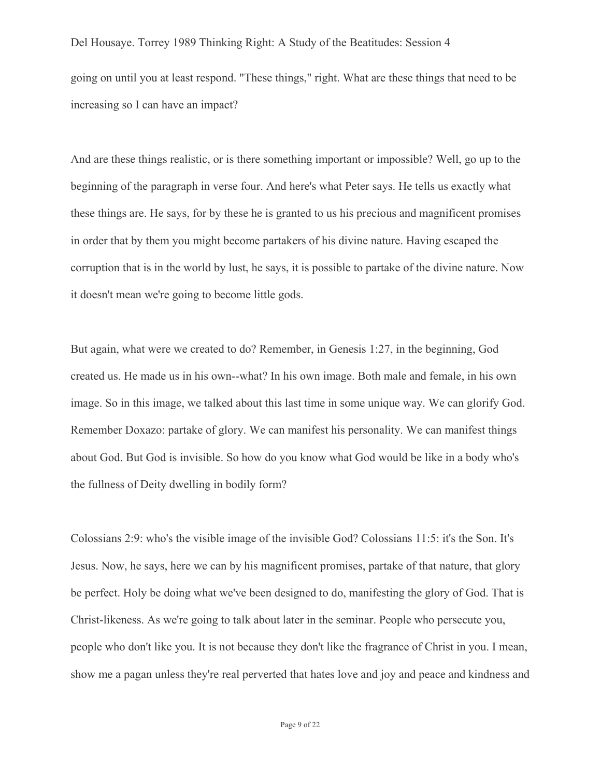Del Housaye. Torrey 1989 Thinking Right: A Study of the Beatitudes: Session 4 going on until you at least respond. "These things," right. What are these things that need to be increasing so I can have an impact?

And are these things realistic, or is there something important or impossible? Well, go up to the beginning of the paragraph in verse four. And here's what Peter says. He tells us exactly what these things are. He says, for by these he is granted to us his precious and magnificent promises in order that by them you might become partakers of his divine nature. Having escaped the corruption that is in the world by lust, he says, it is possible to partake of the divine nature. Now it doesn't mean we're going to become little gods.

But again, what were we created to do? Remember, in Genesis 1:27, in the beginning, God created us. He made us in his own--what? In his own image. Both male and female, in his own image. So in this image, we talked about this last time in some unique way. We can glorify God. Remember Doxazo: partake of glory. We can manifest his personality. We can manifest things about God. But God is invisible. So how do you know what God would be like in a body who's the fullness of Deity dwelling in bodily form?

Colossians 2:9: who's the visible image of the invisible God? Colossians 11:5: it's the Son. It's Jesus. Now, he says, here we can by his magnificent promises, partake of that nature, that glory be perfect. Holy be doing what we've been designed to do, manifesting the glory of God. That is Christ-likeness. As we're going to talk about later in the seminar. People who persecute you, people who don't like you. It is not because they don't like the fragrance of Christ in you. I mean, show me a pagan unless they're real perverted that hates love and joy and peace and kindness and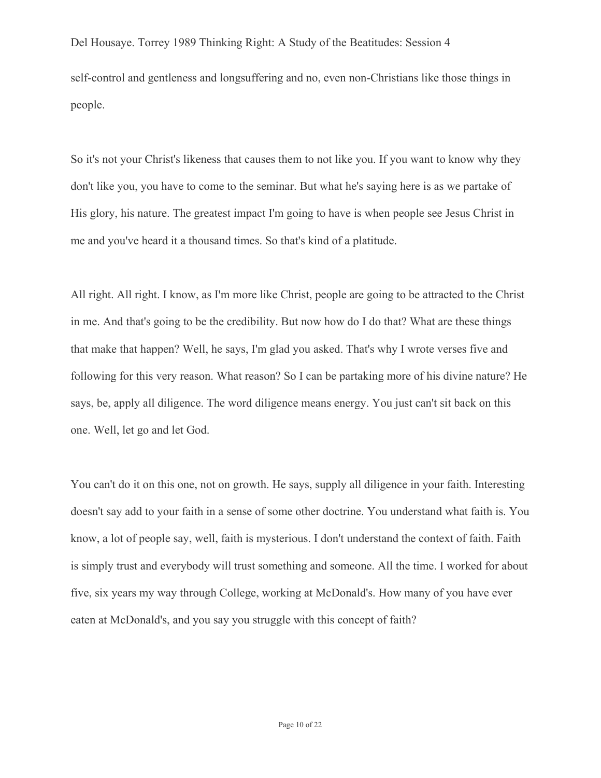Del Housaye. Torrey 1989 Thinking Right: A Study of the Beatitudes: Session 4 self-control and gentleness and longsuffering and no, even non-Christians like those things in people.

So it's not your Christ's likeness that causes them to not like you. If you want to know why they don't like you, you have to come to the seminar. But what he's saying here is as we partake of His glory, his nature. The greatest impact I'm going to have is when people see Jesus Christ in me and you've heard it a thousand times. So that's kind of a platitude.

All right. All right. I know, as I'm more like Christ, people are going to be attracted to the Christ in me. And that's going to be the credibility. But now how do I do that? What are these things that make that happen? Well, he says, I'm glad you asked. That's why I wrote verses five and following for this very reason. What reason? So I can be partaking more of his divine nature? He says, be, apply all diligence. The word diligence means energy. You just can't sit back on this one. Well, let go and let God.

You can't do it on this one, not on growth. He says, supply all diligence in your faith. Interesting doesn't say add to your faith in a sense of some other doctrine. You understand what faith is. You know, a lot of people say, well, faith is mysterious. I don't understand the context of faith. Faith is simply trust and everybody will trust something and someone. All the time. I worked for about five, six years my way through College, working at McDonald's. How many of you have ever eaten at McDonald's, and you say you struggle with this concept of faith?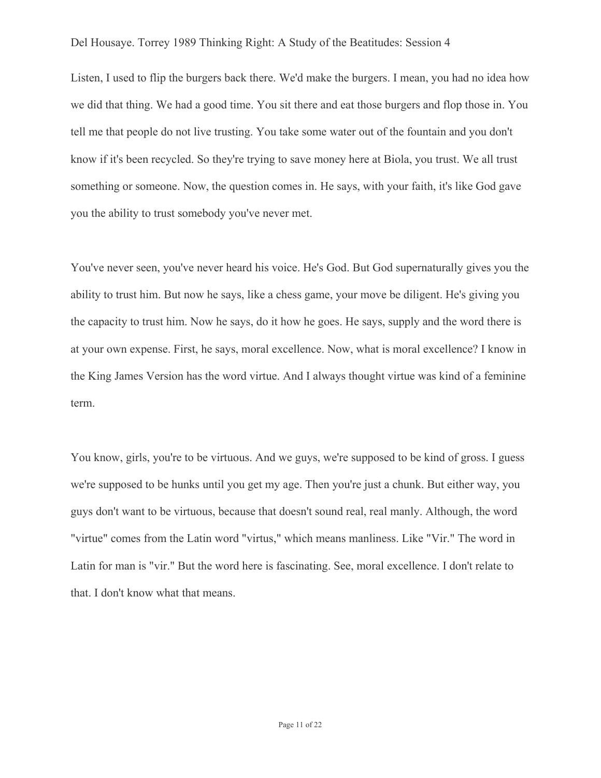Listen, I used to flip the burgers back there. We'd make the burgers. I mean, you had no idea how we did that thing. We had a good time. You sit there and eat those burgers and flop those in. You tell me that people do not live trusting. You take some water out of the fountain and you don't know if it's been recycled. So they're trying to save money here at Biola, you trust. We all trust something or someone. Now, the question comes in. He says, with your faith, it's like God gave you the ability to trust somebody you've never met.

You've never seen, you've never heard his voice. He's God. But God supernaturally gives you the ability to trust him. But now he says, like a chess game, your move be diligent. He's giving you the capacity to trust him. Now he says, do it how he goes. He says, supply and the word there is at your own expense. First, he says, moral excellence. Now, what is moral excellence? I know in the King James Version has the word virtue. And I always thought virtue was kind of a feminine term.

You know, girls, you're to be virtuous. And we guys, we're supposed to be kind of gross. I guess we're supposed to be hunks until you get my age. Then you're just a chunk. But either way, you guys don't want to be virtuous, because that doesn't sound real, real manly. Although, the word "virtue" comes from the Latin word "virtus," which means manliness. Like "Vir." The word in Latin for man is "vir." But the word here is fascinating. See, moral excellence. I don't relate to that. I don't know what that means.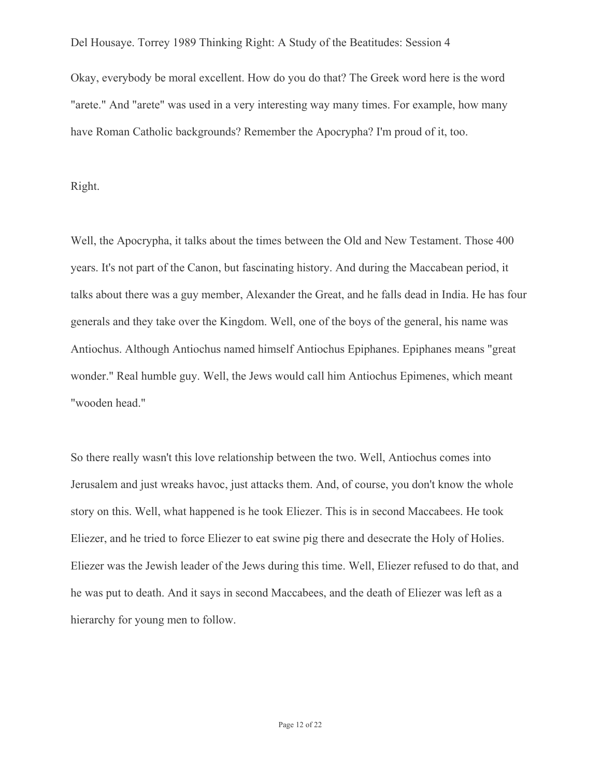Okay, everybody be moral excellent. How do you do that? The Greek word here is the word "arete." And "arete" was used in a very interesting way many times. For example, how many have Roman Catholic backgrounds? Remember the Apocrypha? I'm proud of it, too.

#### Right.

Well, the Apocrypha, it talks about the times between the Old and New Testament. Those 400 years. It's not part of the Canon, but fascinating history. And during the Maccabean period, it talks about there was a guy member, Alexander the Great, and he falls dead in India. He has four generals and they take over the Kingdom. Well, one of the boys of the general, his name was Antiochus. Although Antiochus named himself Antiochus Epiphanes. Epiphanes means "great wonder." Real humble guy. Well, the Jews would call him Antiochus Epimenes, which meant "wooden head."

So there really wasn't this love relationship between the two. Well, Antiochus comes into Jerusalem and just wreaks havoc, just attacks them. And, of course, you don't know the whole story on this. Well, what happened is he took Eliezer. This is in second Maccabees. He took Eliezer, and he tried to force Eliezer to eat swine pig there and desecrate the Holy of Holies. Eliezer was the Jewish leader of the Jews during this time. Well, Eliezer refused to do that, and he was put to death. And it says in second Maccabees, and the death of Eliezer was left as a hierarchy for young men to follow.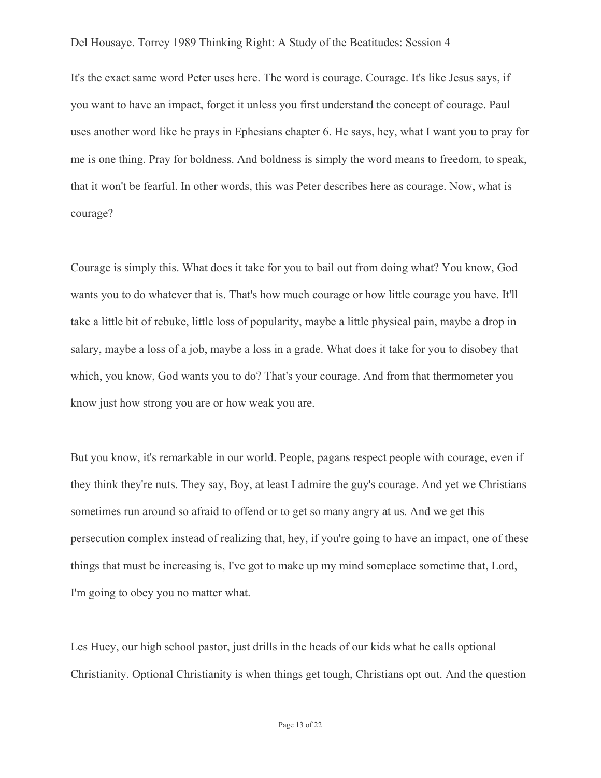It's the exact same word Peter uses here. The word is courage. Courage. It's like Jesus says, if you want to have an impact, forget it unless you first understand the concept of courage. Paul uses another word like he prays in Ephesians chapter 6. He says, hey, what I want you to pray for me is one thing. Pray for boldness. And boldness is simply the word means to freedom, to speak, that it won't be fearful. In other words, this was Peter describes here as courage. Now, what is courage?

Courage is simply this. What does it take for you to bail out from doing what? You know, God wants you to do whatever that is. That's how much courage or how little courage you have. It'll take a little bit of rebuke, little loss of popularity, maybe a little physical pain, maybe a drop in salary, maybe a loss of a job, maybe a loss in a grade. What does it take for you to disobey that which, you know, God wants you to do? That's your courage. And from that thermometer you know just how strong you are or how weak you are.

But you know, it's remarkable in our world. People, pagans respect people with courage, even if they think they're nuts. They say, Boy, at least I admire the guy's courage. And yet we Christians sometimes run around so afraid to offend or to get so many angry at us. And we get this persecution complex instead of realizing that, hey, if you're going to have an impact, one of these things that must be increasing is, I've got to make up my mind someplace sometime that, Lord, I'm going to obey you no matter what.

Les Huey, our high school pastor, just drills in the heads of our kids what he calls optional Christianity. Optional Christianity is when things get tough, Christians opt out. And the question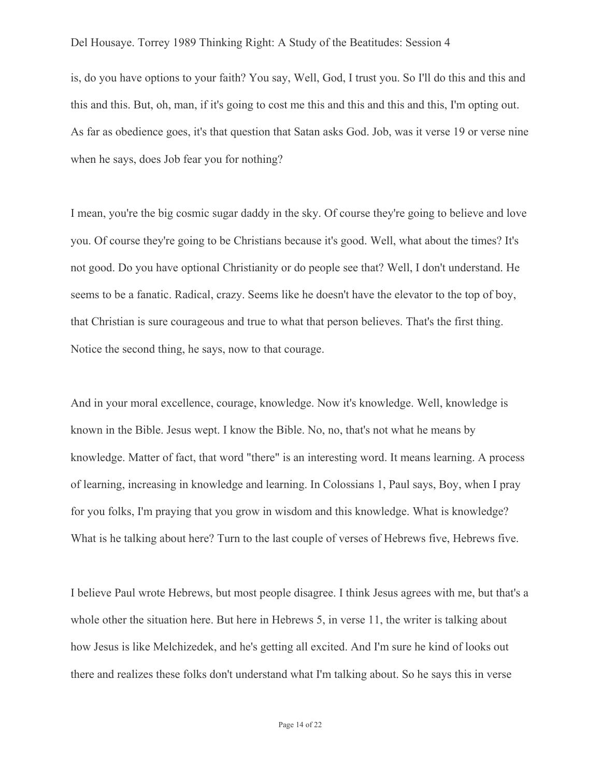is, do you have options to your faith? You say, Well, God, I trust you. So I'll do this and this and this and this. But, oh, man, if it's going to cost me this and this and this and this, I'm opting out. As far as obedience goes, it's that question that Satan asks God. Job, was it verse 19 or verse nine when he says, does Job fear you for nothing?

I mean, you're the big cosmic sugar daddy in the sky. Of course they're going to believe and love you. Of course they're going to be Christians because it's good. Well, what about the times? It's not good. Do you have optional Christianity or do people see that? Well, I don't understand. He seems to be a fanatic. Radical, crazy. Seems like he doesn't have the elevator to the top of boy, that Christian is sure courageous and true to what that person believes. That's the first thing. Notice the second thing, he says, now to that courage.

And in your moral excellence, courage, knowledge. Now it's knowledge. Well, knowledge is known in the Bible. Jesus wept. I know the Bible. No, no, that's not what he means by knowledge. Matter of fact, that word "there" is an interesting word. It means learning. A process of learning, increasing in knowledge and learning. In Colossians 1, Paul says, Boy, when I pray for you folks, I'm praying that you grow in wisdom and this knowledge. What is knowledge? What is he talking about here? Turn to the last couple of verses of Hebrews five, Hebrews five.

I believe Paul wrote Hebrews, but most people disagree. I think Jesus agrees with me, but that's a whole other the situation here. But here in Hebrews 5, in verse 11, the writer is talking about how Jesus is like Melchizedek, and he's getting all excited. And I'm sure he kind of looks out there and realizes these folks don't understand what I'm talking about. So he says this in verse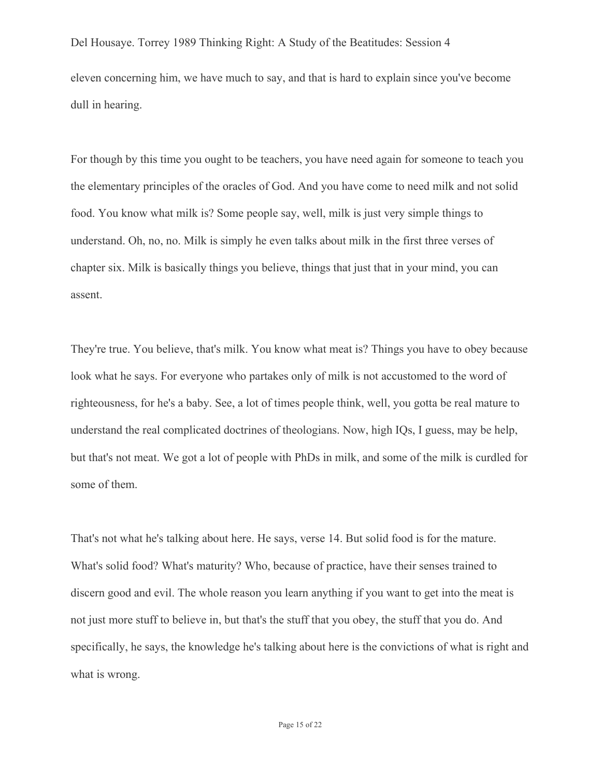Del Housaye. Torrey 1989 Thinking Right: A Study of the Beatitudes: Session 4 eleven concerning him, we have much to say, and that is hard to explain since you've become dull in hearing.

For though by this time you ought to be teachers, you have need again for someone to teach you the elementary principles of the oracles of God. And you have come to need milk and not solid food. You know what milk is? Some people say, well, milk is just very simple things to understand. Oh, no, no. Milk is simply he even talks about milk in the first three verses of chapter six. Milk is basically things you believe, things that just that in your mind, you can assent.

They're true. You believe, that's milk. You know what meat is? Things you have to obey because look what he says. For everyone who partakes only of milk is not accustomed to the word of righteousness, for he's a baby. See, a lot of times people think, well, you gotta be real mature to understand the real complicated doctrines of theologians. Now, high IQs, I guess, may be help, but that's not meat. We got a lot of people with PhDs in milk, and some of the milk is curdled for some of them.

That's not what he's talking about here. He says, verse 14. But solid food is for the mature. What's solid food? What's maturity? Who, because of practice, have their senses trained to discern good and evil. The whole reason you learn anything if you want to get into the meat is not just more stuff to believe in, but that's the stuff that you obey, the stuff that you do. And specifically, he says, the knowledge he's talking about here is the convictions of what is right and what is wrong.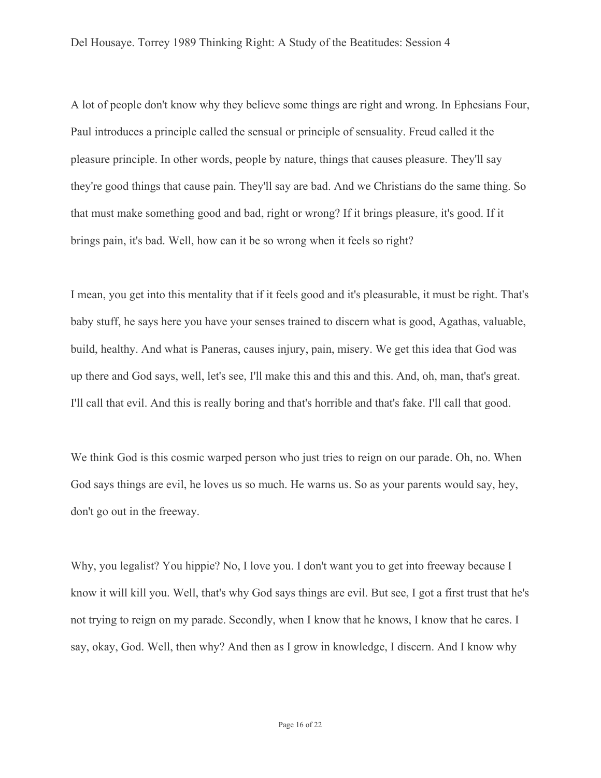A lot of people don't know why they believe some things are right and wrong. In Ephesians Four, Paul introduces a principle called the sensual or principle of sensuality. Freud called it the pleasure principle. In other words, people by nature, things that causes pleasure. They'll say they're good things that cause pain. They'll say are bad. And we Christians do the same thing. So that must make something good and bad, right or wrong? If it brings pleasure, it's good. If it brings pain, it's bad. Well, how can it be so wrong when it feels so right?

I mean, you get into this mentality that if it feels good and it's pleasurable, it must be right. That's baby stuff, he says here you have your senses trained to discern what is good, Agathas, valuable, build, healthy. And what is Paneras, causes injury, pain, misery. We get this idea that God was up there and God says, well, let's see, I'll make this and this and this. And, oh, man, that's great. I'll call that evil. And this is really boring and that's horrible and that's fake. I'll call that good.

We think God is this cosmic warped person who just tries to reign on our parade. Oh, no. When God says things are evil, he loves us so much. He warns us. So as your parents would say, hey, don't go out in the freeway.

Why, you legalist? You hippie? No, I love you. I don't want you to get into freeway because I know it will kill you. Well, that's why God says things are evil. But see, I got a first trust that he's not trying to reign on my parade. Secondly, when I know that he knows, I know that he cares. I say, okay, God. Well, then why? And then as I grow in knowledge, I discern. And I know why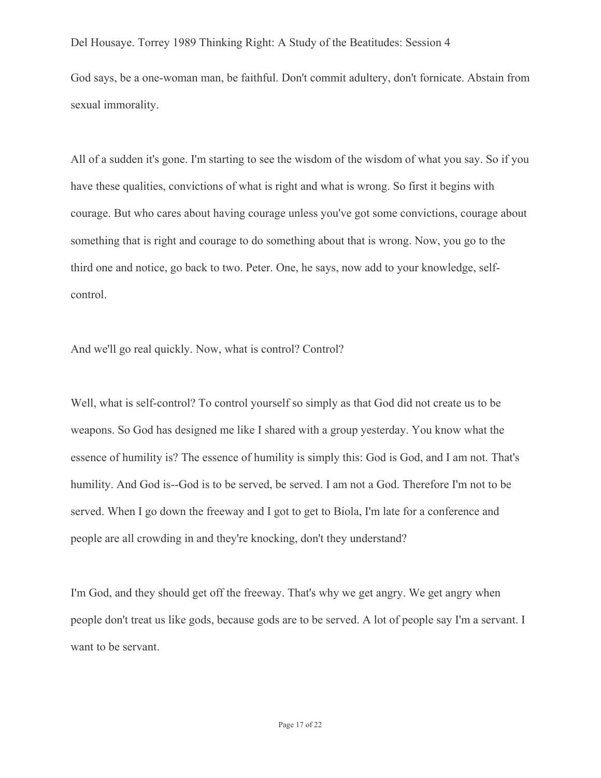God says, be a one-woman man, be faithful. Don't commit adultery, don't fornicate. Abstain from sexual immorality.

All of a sudden it's gone. I'm starting to see the wisdom of the wisdom of what you say. So if you have these qualities, convictions of what is right and what is wrong. So first it begins with courage. But who cares about having courage unless you've got some convictions, courage about something that is right and courage to do something about that is wrong. Now, you go to the third one and notice, go back to two. Peter. One, he says, now add to your knowledge, selfcontrol.

And we'll go real quickly. Now, what is control? Control?

Well, what is self-control? To control yourself so simply as that God did not create us to be weapons. So God has designed me like I shared with a group yesterday. You know what the essence of humility is? The essence of humility is simply this: God is God, and I am not. That's humility. And God is--God is to be served, be served. I am not a God. Therefore I'm not to be served. When I go down the freeway and I got to get to Biola, I'm late for a conference and people are all crowding in and they're knocking, don't they understand?

I'm God, and they should get off the freeway. That's why we get angry. We get angry when people don't treat us like gods, because gods are to be served. A lot of people say I'm a servant. I want to be servant.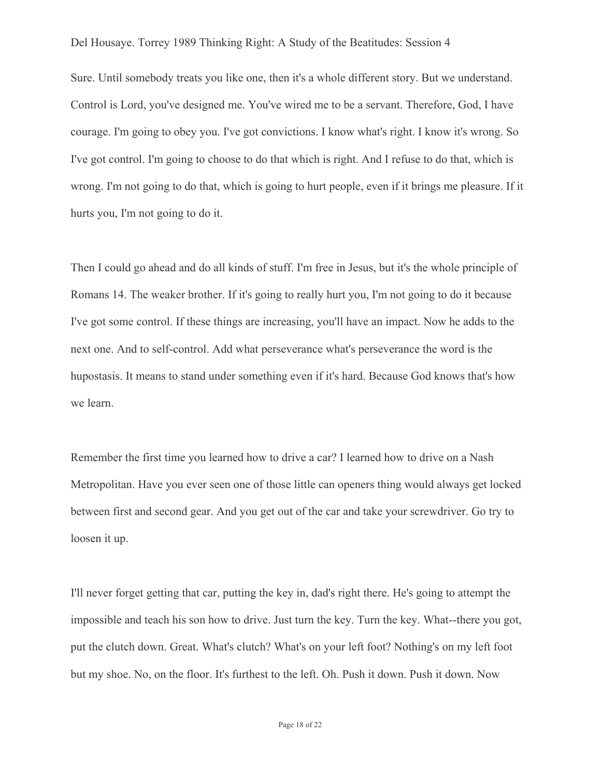Sure. Until somebody treats you like one, then it's a whole different story. But we understand. Control is Lord, you've designed me. You've wired me to be a servant. Therefore, God, I have courage. I'm going to obey you. I've got convictions. I know what's right. I know it's wrong. So I've got control. I'm going to choose to do that which is right. And I refuse to do that, which is wrong. I'm not going to do that, which is going to hurt people, even if it brings me pleasure. If it hurts you, I'm not going to do it.

Then I could go ahead and do all kinds of stuff. I'm free in Jesus, but it's the whole principle of Romans 14. The weaker brother. If it's going to really hurt you, I'm not going to do it because I've got some control. If these things are increasing, you'll have an impact. Now he adds to the next one. And to self-control. Add what perseverance what's perseverance the word is the hupostasis. It means to stand under something even if it's hard. Because God knows that's how we learn.

Remember the first time you learned how to drive a car? I learned how to drive on a Nash Metropolitan. Have you ever seen one of those little can openers thing would always get locked between first and second gear. And you get out of the car and take your screwdriver. Go try to loosen it up.

I'll never forget getting that car, putting the key in, dad's right there. He's going to attempt the impossible and teach his son how to drive. Just turn the key. Turn the key. What--there you got, put the clutch down. Great. What's clutch? What's on your left foot? Nothing's on my left foot but my shoe. No, on the floor. It's furthest to the left. Oh. Push it down. Push it down. Now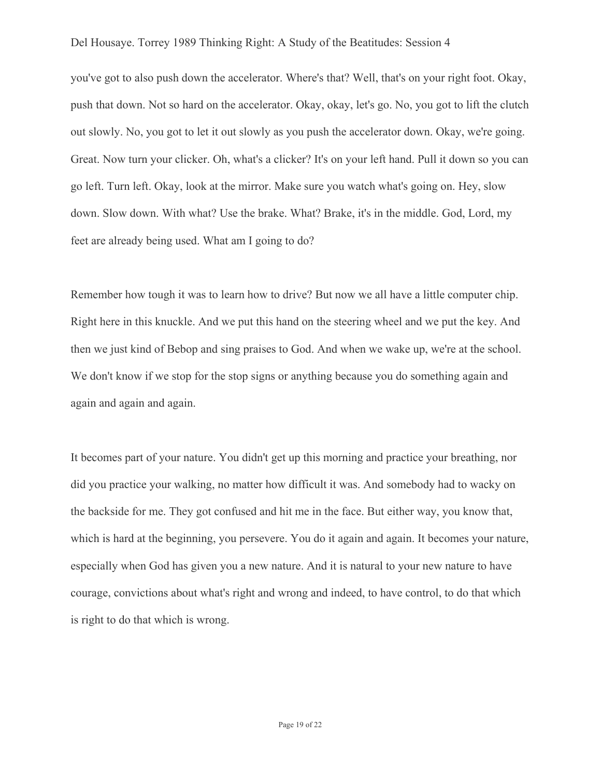you've got to also push down the accelerator. Where's that? Well, that's on your right foot. Okay, push that down. Not so hard on the accelerator. Okay, okay, let's go. No, you got to lift the clutch out slowly. No, you got to let it out slowly as you push the accelerator down. Okay, we're going. Great. Now turn your clicker. Oh, what's a clicker? It's on your left hand. Pull it down so you can go left. Turn left. Okay, look at the mirror. Make sure you watch what's going on. Hey, slow down. Slow down. With what? Use the brake. What? Brake, it's in the middle. God, Lord, my feet are already being used. What am I going to do?

Remember how tough it was to learn how to drive? But now we all have a little computer chip. Right here in this knuckle. And we put this hand on the steering wheel and we put the key. And then we just kind of Bebop and sing praises to God. And when we wake up, we're at the school. We don't know if we stop for the stop signs or anything because you do something again and again and again and again.

It becomes part of your nature. You didn't get up this morning and practice your breathing, nor did you practice your walking, no matter how difficult it was. And somebody had to wacky on the backside for me. They got confused and hit me in the face. But either way, you know that, which is hard at the beginning, you persevere. You do it again and again. It becomes your nature, especially when God has given you a new nature. And it is natural to your new nature to have courage, convictions about what's right and wrong and indeed, to have control, to do that which is right to do that which is wrong.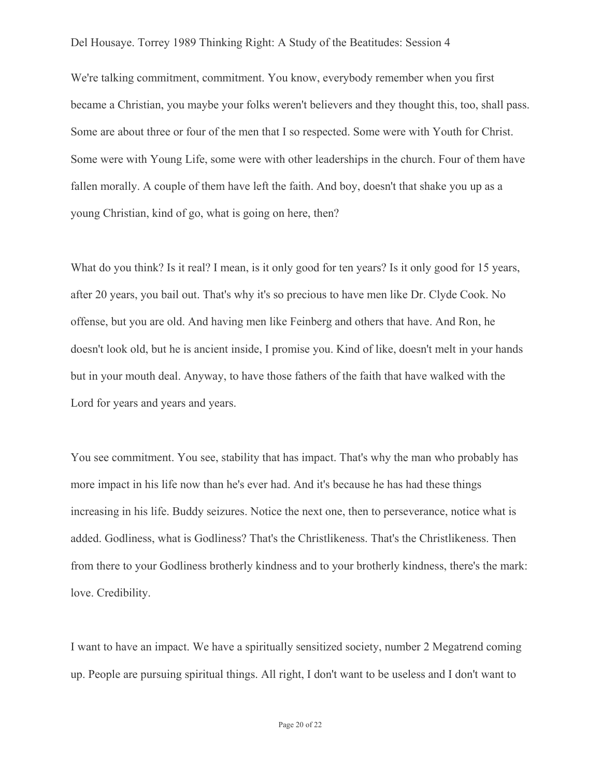We're talking commitment, commitment. You know, everybody remember when you first became a Christian, you maybe your folks weren't believers and they thought this, too, shall pass. Some are about three or four of the men that I so respected. Some were with Youth for Christ. Some were with Young Life, some were with other leaderships in the church. Four of them have fallen morally. A couple of them have left the faith. And boy, doesn't that shake you up as a young Christian, kind of go, what is going on here, then?

What do you think? Is it real? I mean, is it only good for ten years? Is it only good for 15 years, after 20 years, you bail out. That's why it's so precious to have men like Dr. Clyde Cook. No offense, but you are old. And having men like Feinberg and others that have. And Ron, he doesn't look old, but he is ancient inside, I promise you. Kind of like, doesn't melt in your hands but in your mouth deal. Anyway, to have those fathers of the faith that have walked with the Lord for years and years and years.

You see commitment. You see, stability that has impact. That's why the man who probably has more impact in his life now than he's ever had. And it's because he has had these things increasing in his life. Buddy seizures. Notice the next one, then to perseverance, notice what is added. Godliness, what is Godliness? That's the Christlikeness. That's the Christlikeness. Then from there to your Godliness brotherly kindness and to your brotherly kindness, there's the mark: love. Credibility.

I want to have an impact. We have a spiritually sensitized society, number 2 Megatrend coming up. People are pursuing spiritual things. All right, I don't want to be useless and I don't want to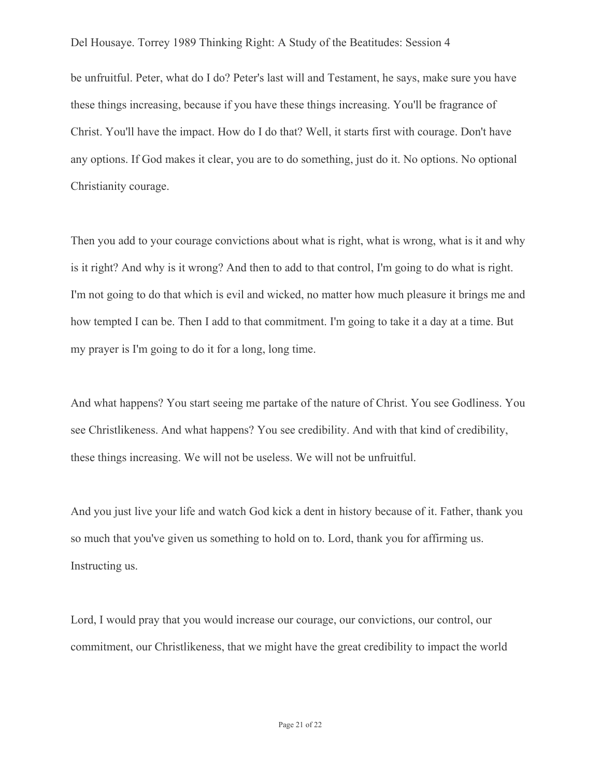be unfruitful. Peter, what do I do? Peter's last will and Testament, he says, make sure you have these things increasing, because if you have these things increasing. You'll be fragrance of Christ. You'll have the impact. How do I do that? Well, it starts first with courage. Don't have any options. If God makes it clear, you are to do something, just do it. No options. No optional Christianity courage.

Then you add to your courage convictions about what is right, what is wrong, what is it and why is it right? And why is it wrong? And then to add to that control, I'm going to do what is right. I'm not going to do that which is evil and wicked, no matter how much pleasure it brings me and how tempted I can be. Then I add to that commitment. I'm going to take it a day at a time. But my prayer is I'm going to do it for a long, long time.

And what happens? You start seeing me partake of the nature of Christ. You see Godliness. You see Christlikeness. And what happens? You see credibility. And with that kind of credibility, these things increasing. We will not be useless. We will not be unfruitful.

And you just live your life and watch God kick a dent in history because of it. Father, thank you so much that you've given us something to hold on to. Lord, thank you for affirming us. Instructing us.

Lord, I would pray that you would increase our courage, our convictions, our control, our commitment, our Christlikeness, that we might have the great credibility to impact the world